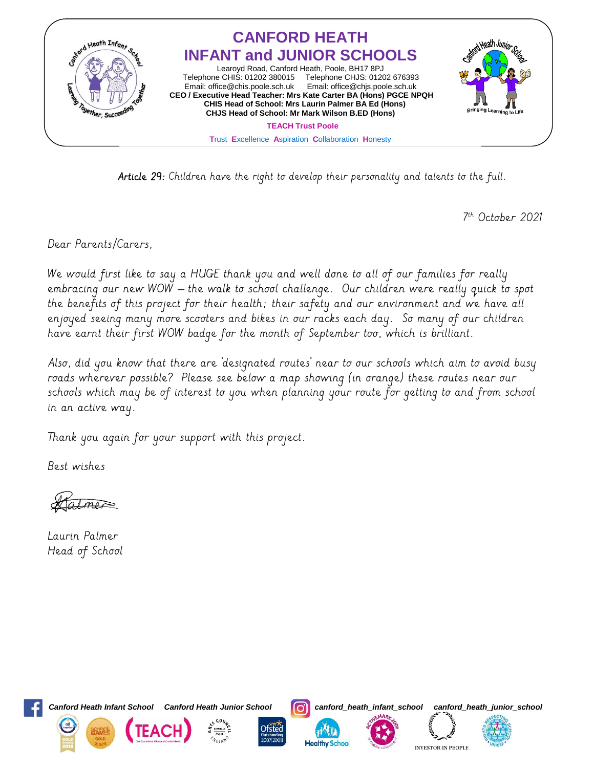

Article 29: Children have the right to develop their personality and talents to the full.

7 th October 2021

Dear Parents/Carers,

We would first like to say a HUGE thank you and well done to all of our families for really embracing our new WOW – the walk to school challenge. Our children were really quick to spot the benefits of this project for their health; their safety and our environment and we have all enjoyed seeing many more scooters and bikes in our racks each day. So many of our children have earnt their first WOW badge for the month of September too, which is brilliant.

Also, did you know that there are 'designated routes' near to our schools which aim to avoid busy roads wherever possible? Please see below a map showing (in orange) these routes near our schools which may be of interest to you when planning your route for getting to and from school in an active way.

Thank you again for your support with this project.

Best wishes

almer

Laurin Palmer Head of School



*Canford Heath Infant School Canford Heath Junior School canford\_heath\_infant\_school canford\_heath\_junior\_school*